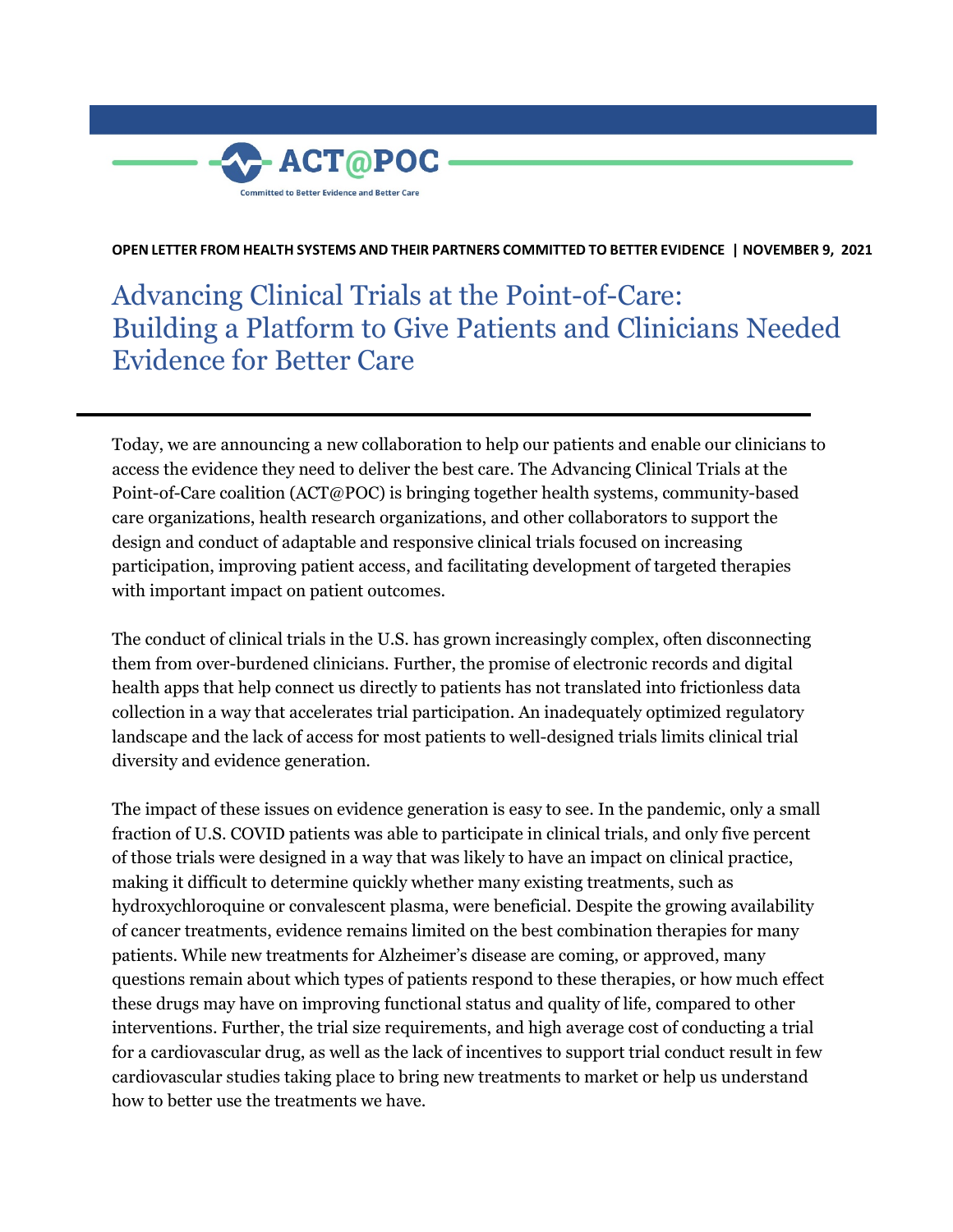

**OPEN LETTER FROM HEALTH SYSTEMS AND THEIR PARTNERS COMMITTED TO BETTER EVIDENCE | NOVEMBER 9, 2021**

Advancing Clinical Trials at the Point-of-Care: Building a Platform to Give Patients and Clinicians Needed Evidence for Better Care

Today, we are announcing a new collaboration to help our patients and enable our clinicians to access the evidence they need to deliver the best care. The Advancing Clinical Trials at the Point-of-Care coalition (ACT@POC) is bringing together health systems, community-based care organizations, health research organizations, and other collaborators to support the design and conduct of adaptable and responsive clinical trials focused on increasing participation, improving patient access, and facilitating development of targeted therapies with important impact on patient outcomes.

The conduct of clinical trials in the U.S. has grown increasingly complex, often disconnecting them from over-burdened clinicians. Further, the promise of electronic records and digital health apps that help connect us directly to patients has not translated into frictionless data collection in a way that accelerates trial participation. An inadequately optimized regulatory landscape and the lack of access for most patients to well-designed trials limits clinical trial diversity and evidence generation.

The impact of these issues on evidence generation is easy to see. In the pandemic, only a small fraction of U.S. COVID patients was able to participate in clinical trials, and only five percent of those trials were designed in a way that was likely to have an impact on clinical practice, making it difficult to determine quickly whether many existing treatments, such as hydroxychloroquine or convalescent plasma, were beneficial. Despite the growing availability of cancer treatments, evidence remains limited on the best combination therapies for many patients. While new treatments for Alzheimer's disease are coming, or approved, many questions remain about which types of patients respond to these therapies, or how much effect these drugs may have on improving functional status and quality of life, compared to other interventions. Further, the trial size requirements, and high average cost of conducting a trial for a cardiovascular drug, as well as the lack of incentives to support trial conduct result in few cardiovascular studies taking place to bring new treatments to market or help us understand how to better use the treatments we have.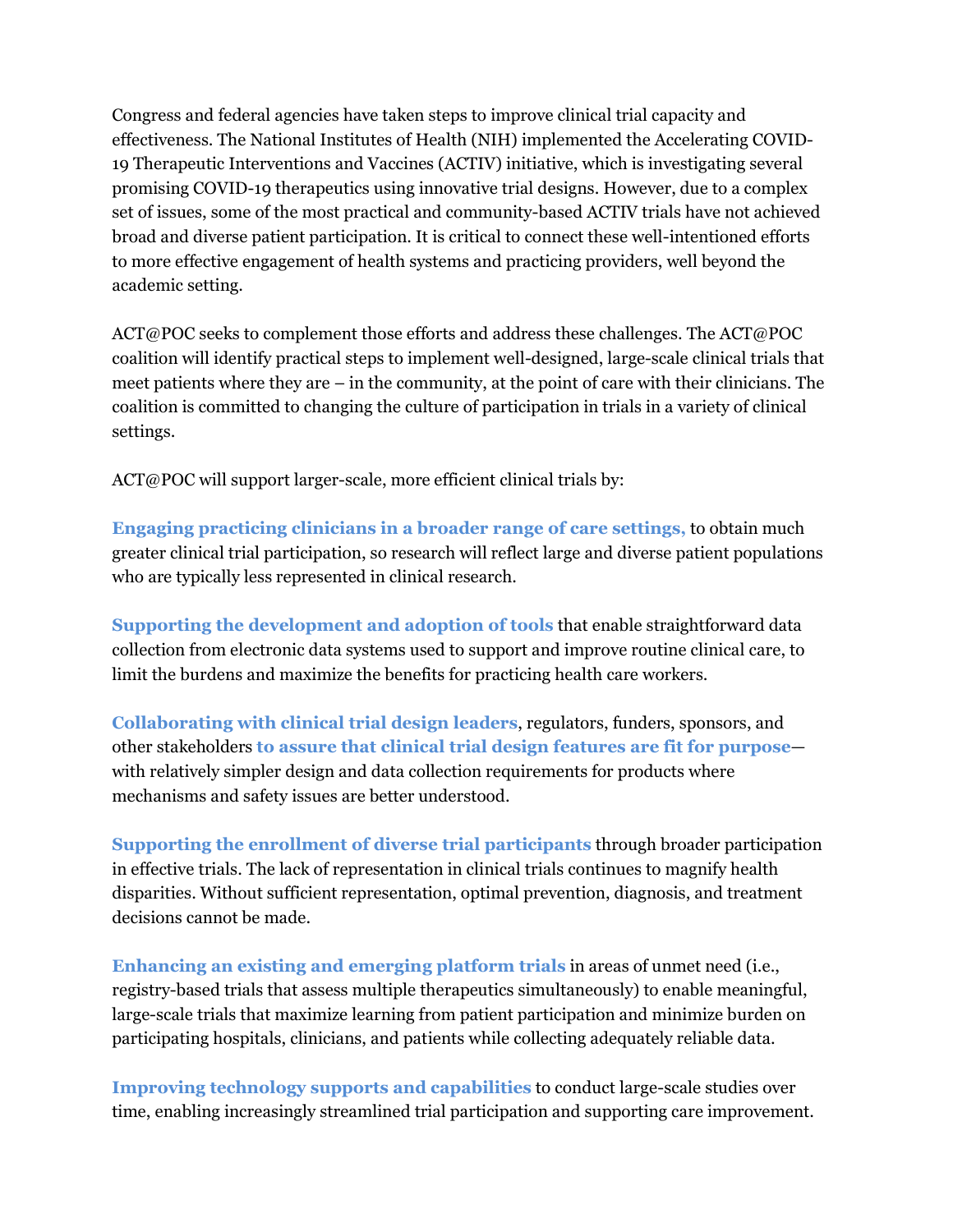Congress and federal agencies have taken steps to improve clinical trial capacity and effectiveness. The National Institutes of Health (NIH) implemented the Accelerating COVID-19 Therapeutic Interventions and Vaccines (ACTIV) initiative, which is investigating several promising COVID-19 therapeutics using innovative trial designs. However, due to a complex set of issues, some of the most practical and community-based ACTIV trials have not achieved broad and diverse patient participation. It is critical to connect these well-intentioned efforts to more effective engagement of health systems and practicing providers, well beyond the academic setting.

ACT@POC seeks to complement those efforts and address these challenges. The ACT@POC coalition will identify practical steps to implement well-designed, large-scale clinical trials that meet patients where they are – in the community, at the point of care with their clinicians. The coalition is committed to changing the culture of participation in trials in a variety of clinical settings.

ACT@POC will support larger-scale, more efficient clinical trials by:

**Engaging practicing clinicians in a broader range of care settings,** to obtain much greater clinical trial participation, so research will reflect large and diverse patient populations who are typically less represented in clinical research.

**Supporting the development and adoption of tools** that enable straightforward data collection from electronic data systems used to support and improve routine clinical care, to limit the burdens and maximize the benefits for practicing health care workers.

**Collaborating with clinical trial design leaders**, regulators, funders, sponsors, and other stakeholders **to assure that clinical trial design features are fit for purpose** with relatively simpler design and data collection requirements for products where mechanisms and safety issues are better understood.

**Supporting the enrollment of diverse trial participants** through broader participation in effective trials. The lack of representation in clinical trials continues to magnify health disparities. Without sufficient representation, optimal prevention, diagnosis, and treatment decisions cannot be made.

**Enhancing an existing and emerging platform trials** in areas of unmet need (i.e., registry-based trials that assess multiple therapeutics simultaneously) to enable meaningful, large-scale trials that maximize learning from patient participation and minimize burden on participating hospitals, clinicians, and patients while collecting adequately reliable data.

**Improving technology supports and capabilities** to conduct large-scale studies over time, enabling increasingly streamlined trial participation and supporting care improvement.